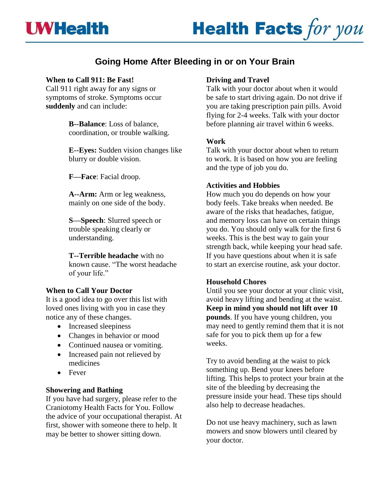## **UWHealth**

# **Health Facts for you**

### **Going Home After Bleeding in or on Your Brain**

#### **When to Call 911: Be Fast!**

Call 911 right away for any signs or symptoms of stroke. Symptoms occur **suddenly** and can include:

> **B--Balance**: Loss of balance, coordination, or trouble walking.

**E--Eyes:** Sudden vision changes like blurry or double vision.

**F—Face**: Facial droop.

**A--Arm:** Arm or leg weakness, mainly on one side of the body.

**S—Speech**: Slurred speech or trouble speaking clearly or understanding.

**T--Terrible headache** with no known cause. "The worst headache of your life."

#### **When to Call Your Doctor**

It is a good idea to go over this list with loved ones living with you in case they notice any of these changes.

- Increased sleepiness
- Changes in behavior or mood
- Continued nausea or vomiting.
- Increased pain not relieved by medicines
- Fever

#### **Showering and Bathing**

If you have had surgery, please refer to the Craniotomy Health Facts for You. Follow the advice of your occupational therapist. At first, shower with someone there to help. It may be better to shower sitting down.

#### **Driving and Travel**

Talk with your doctor about when it would be safe to start driving again. Do not drive if you are taking prescription pain pills. Avoid flying for 2-4 weeks. Talk with your doctor before planning air travel within 6 weeks.

#### **Work**

Talk with your doctor about when to return to work. It is based on how you are feeling and the type of job you do.

#### **Activities and Hobbies**

How much you do depends on how your body feels. Take breaks when needed. Be aware of the risks that headaches, fatigue, and memory loss can have on certain things you do. You should only walk for the first 6 weeks. This is the best way to gain your strength back, while keeping your head safe. If you have questions about when it is safe to start an exercise routine, ask your doctor.

#### **Household Chores**

Until you see your doctor at your clinic visit, avoid heavy lifting and bending at the waist. **Keep in mind you should not lift over 10 pounds**. If you have young children, you may need to gently remind them that it is not safe for you to pick them up for a few weeks.

Try to avoid bending at the waist to pick something up. Bend your knees before lifting. This helps to protect your brain at the site of the bleeding by decreasing the pressure inside your head. These tips should also help to decrease headaches.

Do not use heavy machinery, such as lawn mowers and snow blowers until cleared by your doctor.